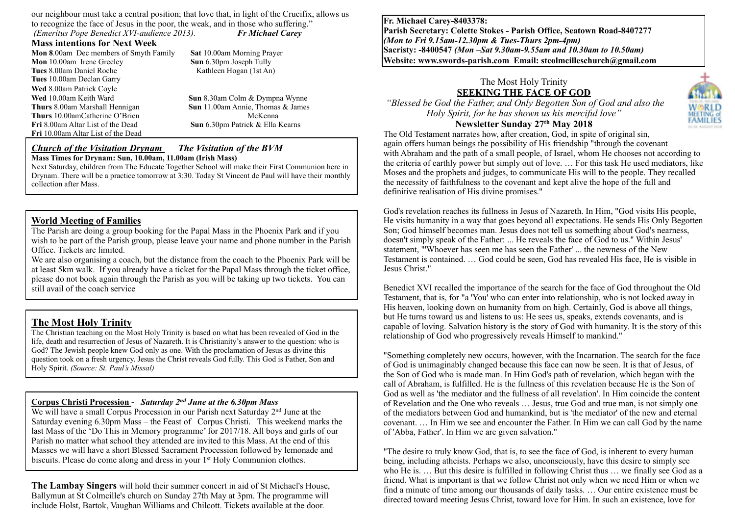our neighbour must take a central position; that love that, in light of the Crucifix, allows us to recognize the face of Jesus in the poor, the weak, and in those who suffering." *(Emeritus Pope Benedict XVI-audience 2013). Fr Michael Carey* 

#### **Mass intentions for Next Week**

**Mon 8**.00am Dec members of Smyth Family **Sat 10.00am Morning Prayer <b>Mon** 10.00am Irene Greeley **Sun** 6.30pm Joseph Tully **Mon** 10.00am Irene Greeley **Tues** 8.00am Daniel Roche Kathleen Hogan (1st An) **Tues** 10.00am Declan Garry **Wed** 8.00am Patrick Coyle **Wed** 10.00am Keith Ward **Sun** 8.30am Colm & Dympna Wynne **Thurs 8.00am Marshall Hennigan <b>Sun** 11.00am Annie, Thomas & James<br> **Thurs** 10.00am Catherine O'Brien McKenna **Thurs** 10.00amCatherine O'Brien **Fri** 8.00am Altar List of the Dead **Sun** 6.30pm Patrick & Ella Kearns **Fri** 10.00am Altar List of the Dead

#### *Church of the Visitation Drynam**The Visitation of the BVM* **Mass Times for Drynam: Sun, 10.00am, 11.00am (Irish Mass)**

Next Saturday, children from The Educate Together School will make their First Communion here in Drynam. There will be a practice tomorrow at 3:30. Today St Vincent de Paul will have their monthly collection after Mass.

#### **World Meeting of Families**

The Parish are doing a group booking for the Papal Mass in the Phoenix Park and if you wish to be part of the Parish group, please leave your name and phone number in the Parish Office. Tickets are limited.

We are also organising a coach, but the distance from the coach to the Phoenix Park will be at least 5km walk. If you already have a ticket for the Papal Mass through the ticket office, please do not book again through the Parish as you will be taking up two tickets. You can still avail of the coach service

### **The Most Holy Trinity**

The Christian teaching on the Most Holy Trinity is based on what has been revealed of God in the life, death and resurrection of Jesus of Nazareth. It is Christianity's answer to the question: who is God? The Jewish people knew God only as one. With the proclamation of Jesus as divine this question took on a fresh urgency. Jesus the Christ reveals God fully. This God is Father, Son and Holy Spirit. *(Source: St. Paul's Missal)*

#### **Corpus Christi Procession** *- Saturday 2nd June at the 6.30pm Mass*

We will have a small Corpus Procession in our Parish next Saturday 2<sup>nd</sup> June at the Saturday evening 6.30pm Mass – the Feast of Corpus Christi. This weekend marks the last Mass of the 'Do This in Memory programme' for 2017/18. All boys and girls of our Parish no matter what school they attended are invited to this Mass. At the end of this Masses we will have a short Blessed Sacrament Procession followed by lemonade and biscuits. Please do come along and dress in your 1<sup>st</sup> Holy Communion clothes.

**The Lambay Singers** will hold their summer concert in aid of St Michael's House, Ballymun at St Colmcille's church on Sunday 27th May at 3pm. The programme will include Holst, Bartok, Vaughan Williams and Chilcott. Tickets available at the door.

**Fr. Michael Carey-8403378: Parish Secretary: Colette Stokes - Parish Office, Seatown Road-8407277**  *(Mon to Fri 9.15am-12.30pm & Tues-Thurs 2pm-4pm)*  **Sacristy: -8400547** *(Mon –Sat 9.30am-9.55am and 10.30am to 10.50am)* **Website: [www.swords-parish.com Email:](http://www.swords-parish.com%20%20email) stcolmcilleschurch@gmail.com**

# The Most Holy Trinity **SEEKING THE FACE OF GOD**

 *"Blessed be God the Father, and Only Begotten Son of God and also the Holy Spirit, for he has shown us his merciful love"* 

## **Newsletter Sunday 27th May 2018**



The Old Testament narrates how, after creation, God, in spite of original sin, again offers human beings the possibility of His friendship "through the covenant with Abraham and the path of a small people, of Israel, whom He chooses not according to the criteria of earthly power but simply out of love. … For this task He used mediators, like Moses and the prophets and judges, to communicate His will to the people. They recalled the necessity of faithfulness to the covenant and kept alive the hope of the full and definitive realisation of His divine promises."

God's revelation reaches its fullness in Jesus of Nazareth. In Him, "God visits His people, He visits humanity in a way that goes beyond all expectations. He sends His Only Begotten Son; God himself becomes man. Jesus does not tell us something about God's nearness, doesn't simply speak of the Father: ... He reveals the face of God to us." Within Jesus' statement, "'Whoever has seen me has seen the Father' ... the newness of the New Testament is contained. … God could be seen, God has revealed His face, He is visible in Jesus Christ."

Benedict XVI recalled the importance of the search for the face of God throughout the Old Testament, that is, for "a 'You' who can enter into relationship, who is not locked away in His heaven, looking down on humanity from on high. Certainly, God is above all things, but He turns toward us and listens to us: He sees us, speaks, extends covenants, and is capable of loving. Salvation history is the story of God with humanity. It is the story of this relationship of God who progressively reveals Himself to mankind."

"Something completely new occurs, however, with the Incarnation. The search for the face of God is unimaginably changed because this face can now be seen. It is that of Jesus, of the Son of God who is made man. In Him God's path of revelation, which began with the call of Abraham, is fulfilled. He is the fullness of this revelation because He is the Son of God as well as 'the mediator and the fullness of all revelation'. In Him coincide the content of Revelation and the One who reveals … Jesus, true God and true man, is not simply one of the mediators between God and humankind, but is 'the mediator' of the new and eternal covenant. … In Him we see and encounter the Father. In Him we can call God by the name of 'Abba, Father'. In Him we are given salvation."

"The desire to truly know God, that is, to see the face of God, is inherent to every human being, including atheists. Perhaps we also, unconsciously, have this desire to simply see who He is. ... But this desire is fulfilled in following Christ thus ... we finally see God as a friend. What is important is that we follow Christ not only when we need Him or when we find a minute of time among our thousands of daily tasks. … Our entire existence must be directed toward meeting Jesus Christ, toward love for Him. In such an existence, love for